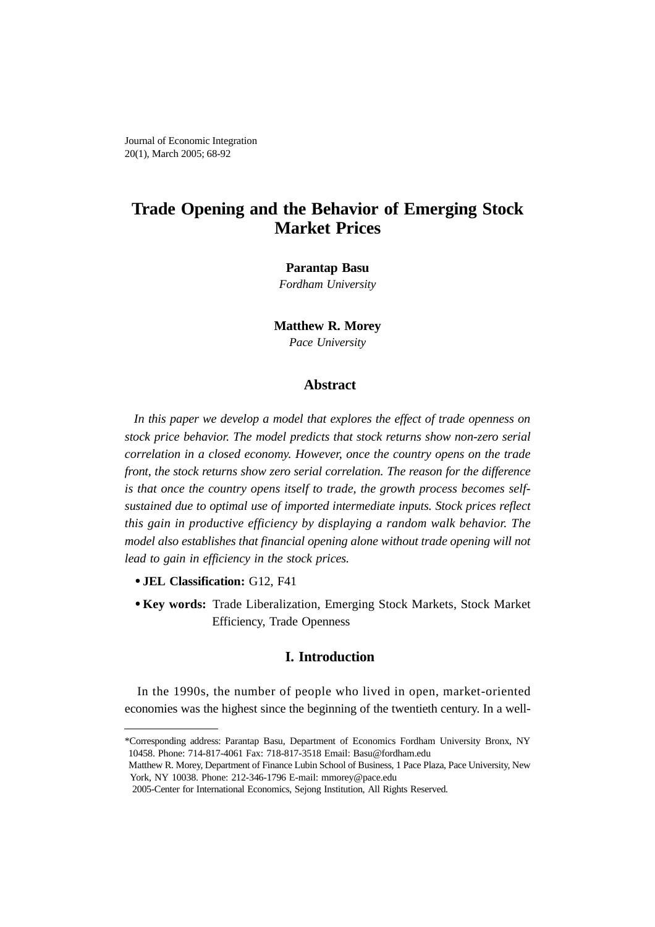Journal of Economic Integration 20(1), March 2005; 68-92

# **Trade Opening and the Behavior of Emerging Stock Market Prices**

#### **Parantap Basu**

*Fordham University*

**Matthew R. Morey**

*Pace University*

# **Abstract**

*In this paper we develop a model that explores the effect of trade openness on stock price behavior. The model predicts that stock returns show non-zero serial correlation in a closed economy. However, once the country opens on the trade front, the stock returns show zero serial correlation. The reason for the difference is that once the country opens itself to trade, the growth process becomes selfsustained due to optimal use of imported intermediate inputs. Stock prices reflect this gain in productive efficiency by displaying a random walk behavior. The model also establishes that financial opening alone without trade opening will not lead to gain in efficiency in the stock prices.* 

- **JEL Classification:** G12, F41
- **Key words:** Trade Liberalization, Emerging Stock Markets, Stock Market Efficiency, Trade Openness

# **I. Introduction**

In the 1990s, the number of people who lived in open, market-oriented economies was the highest since the beginning of the twentieth century. In a well-

<sup>\*</sup>Corresponding address: Parantap Basu, Department of Economics Fordham University Bronx, NY 10458. Phone: 714-817-4061 Fax: 718-817-3518 Email: Basu@fordham.edu

Matthew R. Morey, Department of Finance Lubin School of Business, 1 Pace Plaza, Pace University, New York, NY 10038. Phone: 212-346-1796 E-mail: mmorey@pace.edu

<sup>2005-</sup>Center for International Economics, Sejong Institution, All Rights Reserved.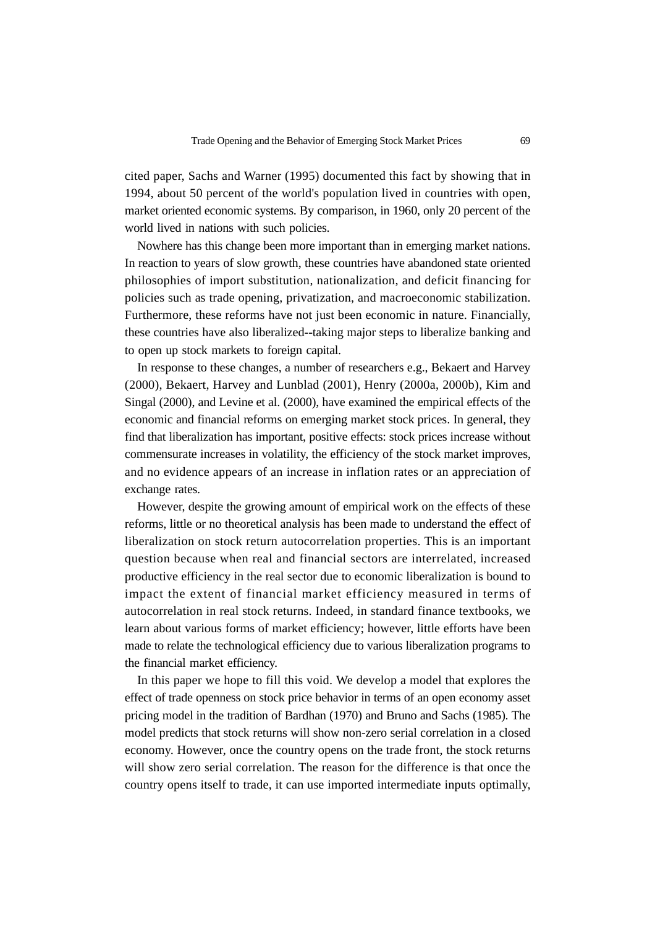cited paper, Sachs and Warner (1995) documented this fact by showing that in 1994, about 50 percent of the world's population lived in countries with open, market oriented economic systems. By comparison, in 1960, only 20 percent of the world lived in nations with such policies.

Nowhere has this change been more important than in emerging market nations. In reaction to years of slow growth, these countries have abandoned state oriented philosophies of import substitution, nationalization, and deficit financing for policies such as trade opening, privatization, and macroeconomic stabilization. Furthermore, these reforms have not just been economic in nature. Financially, these countries have also liberalized--taking major steps to liberalize banking and to open up stock markets to foreign capital.

In response to these changes, a number of researchers e.g., Bekaert and Harvey (2000), Bekaert, Harvey and Lunblad (2001), Henry (2000a, 2000b), Kim and Singal (2000), and Levine et al. (2000), have examined the empirical effects of the economic and financial reforms on emerging market stock prices. In general, they find that liberalization has important, positive effects: stock prices increase without commensurate increases in volatility, the efficiency of the stock market improves, and no evidence appears of an increase in inflation rates or an appreciation of exchange rates.

However, despite the growing amount of empirical work on the effects of these reforms, little or no theoretical analysis has been made to understand the effect of liberalization on stock return autocorrelation properties. This is an important question because when real and financial sectors are interrelated, increased productive efficiency in the real sector due to economic liberalization is bound to impact the extent of financial market efficiency measured in terms of autocorrelation in real stock returns. Indeed, in standard finance textbooks, we learn about various forms of market efficiency; however, little efforts have been made to relate the technological efficiency due to various liberalization programs to the financial market efficiency.

In this paper we hope to fill this void. We develop a model that explores the effect of trade openness on stock price behavior in terms of an open economy asset pricing model in the tradition of Bardhan (1970) and Bruno and Sachs (1985). The model predicts that stock returns will show non-zero serial correlation in a closed economy. However, once the country opens on the trade front, the stock returns will show zero serial correlation. The reason for the difference is that once the country opens itself to trade, it can use imported intermediate inputs optimally,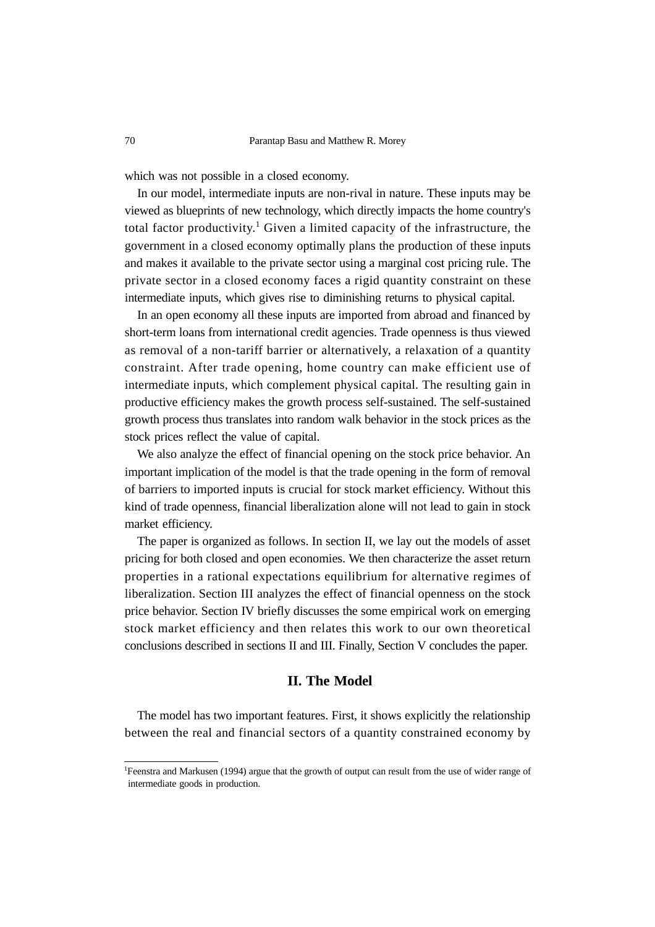which was not possible in a closed economy.

In our model, intermediate inputs are non-rival in nature. These inputs may be viewed as blueprints of new technology, which directly impacts the home country's total factor productivity.<sup>1</sup> Given a limited capacity of the infrastructure, the government in a closed economy optimally plans the production of these inputs and makes it available to the private sector using a marginal cost pricing rule. The private sector in a closed economy faces a rigid quantity constraint on these intermediate inputs, which gives rise to diminishing returns to physical capital.

In an open economy all these inputs are imported from abroad and financed by short-term loans from international credit agencies. Trade openness is thus viewed as removal of a non-tariff barrier or alternatively, a relaxation of a quantity constraint. After trade opening, home country can make efficient use of intermediate inputs, which complement physical capital. The resulting gain in productive efficiency makes the growth process self-sustained. The self-sustained growth process thus translates into random walk behavior in the stock prices as the stock prices reflect the value of capital.

We also analyze the effect of financial opening on the stock price behavior. An important implication of the model is that the trade opening in the form of removal of barriers to imported inputs is crucial for stock market efficiency. Without this kind of trade openness, financial liberalization alone will not lead to gain in stock market efficiency.

The paper is organized as follows. In section II, we lay out the models of asset pricing for both closed and open economies. We then characterize the asset return properties in a rational expectations equilibrium for alternative regimes of liberalization. Section III analyzes the effect of financial openness on the stock price behavior. Section IV briefly discusses the some empirical work on emerging stock market efficiency and then relates this work to our own theoretical conclusions described in sections II and III. Finally, Section V concludes the paper.

# **II. The Model**

The model has two important features. First, it shows explicitly the relationship between the real and financial sectors of a quantity constrained economy by

<sup>&</sup>lt;sup>1</sup>Feenstra and Markusen (1994) argue that the growth of output can result from the use of wider range of intermediate goods in production.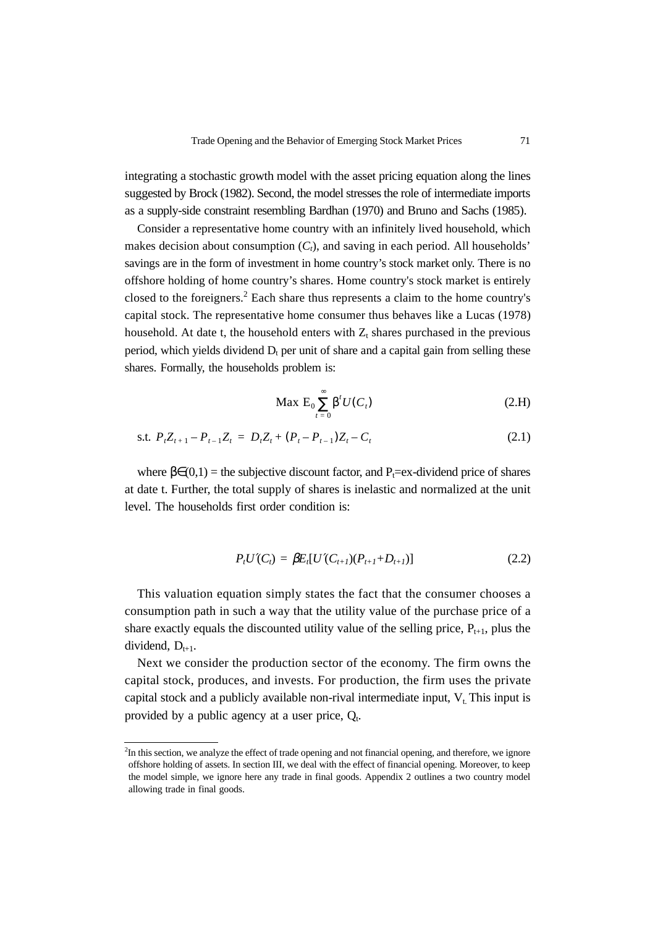integrating a stochastic growth model with the asset pricing equation along the lines suggested by Brock (1982). Second, the model stresses the role of intermediate imports as a supply-side constraint resembling Bardhan (1970) and Bruno and Sachs (1985).

Consider a representative home country with an infinitely lived household, which makes decision about consumption  $(C_t)$ , and saving in each period. All households' savings are in the form of investment in home country's stock market only. There is no offshore holding of home country's shares. Home country's stock market is entirely closed to the foreigners.<sup>2</sup> Each share thus represents a claim to the home country's capital stock. The representative home consumer thus behaves like a Lucas (1978) household. At date t, the household enters with  $Z_t$  shares purchased in the previous period, which yields dividend  $D_t$  per unit of share and a capital gain from selling these shares. Formally, the households problem is:

$$
\text{Max } \mathcal{E}_0 \sum_{t=0}^{\infty} \beta^t U(C_t) \tag{2.H}
$$

s.t. 
$$
P_t Z_{t+1} - P_{t-1} Z_t = D_t Z_t + (P_t - P_{t-1}) Z_t - C_t
$$
 (2.1)

where  $\beta \in (0,1)$  = the subjective discount factor, and P<sub>t</sub>=ex-dividend price of shares at date t. Further, the total supply of shares is inelastic and normalized at the unit level. The households first order condition is:

$$
P_t U'(C_t) = \beta E_t [U'(C_{t+1})(P_{t+1} + D_{t+1})]
$$
\n(2.2)

This valuation equation simply states the fact that the consumer chooses a consumption path in such a way that the utility value of the purchase price of a share exactly equals the discounted utility value of the selling price,  $P_{t+1}$ , plus the dividend,  $D_{t+1}$ .

Next we consider the production sector of the economy. The firm owns the capital stock, produces, and invests. For production, the firm uses the private capital stock and a publicly available non-rival intermediate input,  $V_t$ . This input is provided by a public agency at a user price,  $Q_t$ .

<sup>&</sup>lt;sup>2</sup>In this section, we analyze the effect of trade opening and not financial opening, and therefore, we ignore offshore holding of assets. In section III, we deal with the effect of financial opening. Moreover, to keep the model simple, we ignore here any trade in final goods. Appendix 2 outlines a two country model allowing trade in final goods.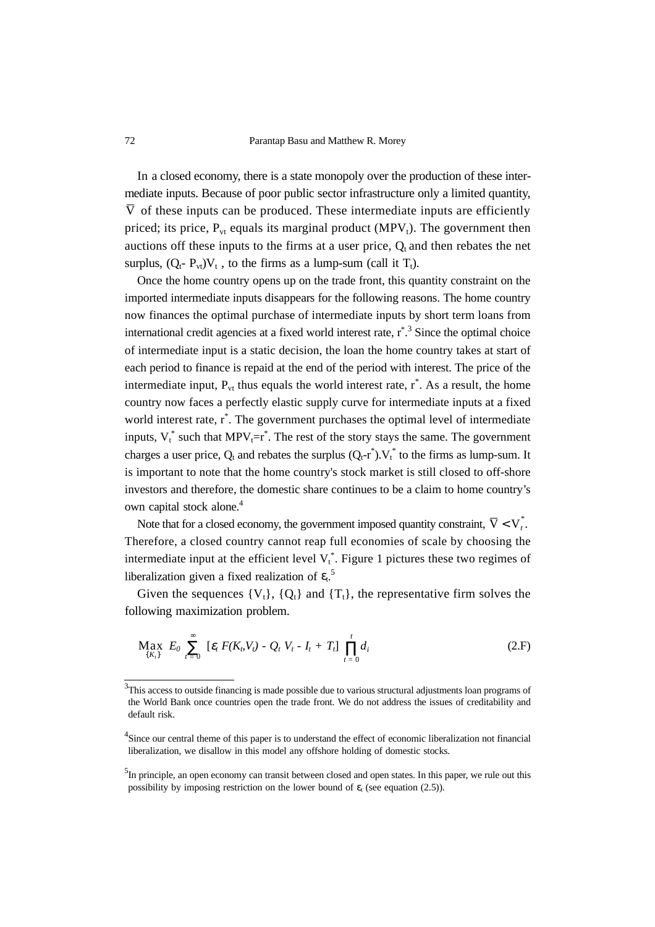In a closed economy, there is a state monopoly over the production of these intermediate inputs. Because of poor public sector infrastructure only a limited quantity, V of these inputs can be produced. These intermediate inputs are efficiently priced; its price,  $P_{vt}$  equals its marginal product (MPV<sub>t</sub>). The government then auctions off these inputs to the firms at a user price,  $Q_t$  and then rebates the net surplus,  $(Q_t - P_{vt})V_t$ , to the firms as a lump-sum (call it  $T_t$ ).

Once the home country opens up on the trade front, this quantity constraint on the imported intermediate inputs disappears for the following reasons. The home country now finances the optimal purchase of intermediate inputs by short term loans from international credit agencies at a fixed world interest rate, r<sup>\*</sup>.<sup>3</sup> Since the optimal choice of intermediate input is a static decision, the loan the home country takes at start of each period to finance is repaid at the end of the period with interest. The price of the intermediate input,  $P_{vt}$  thus equals the world interest rate,  $r^*$ . As a result, the home country now faces a perfectly elastic supply curve for intermediate inputs at a fixed world interest rate, r<sup>\*</sup>. The government purchases the optimal level of intermediate inputs,  $V_t^*$  such that  $MPV_t=r^*$ . The rest of the story stays the same. The government charges a user price,  $Q_t$  and rebates the surplus  $(Q_t \text{-} r^*)$ .  $V_t^*$  to the firms as lump-sum. It is important to note that the home country's stock market is still closed to off-shore investors and therefore, the domestic share continues to be a claim to home country's own capital stock alone.<sup>4</sup>

Note that for a closed economy, the government imposed quantity constraint,  $\overline{V} < V_t^*$ . Therefore, a closed country cannot reap full economies of scale by choosing the intermediate input at the efficient level  $V_t^*$ . Figure 1 pictures these two regimes of liberalization given a fixed realization of  $\varepsilon_t$ .<sup>5</sup>

Given the sequences  ${V_t}$ ,  ${Q_t}$  and  ${T_t}$ , the representative firm solves the following maximization problem.

$$
\max_{\{K_t\}}\ E_0 \ \sum_{t=0}^{\infty}\ \left[\varepsilon_t\ F(K_b V_t) - Q_t\ V_t - I_t + T_t\right]\ \prod_{t=0}^t d_i \tag{2.F}
$$

<sup>&</sup>lt;sup>3</sup>This access to outside financing is made possible due to various structural adjustments loan programs of the World Bank once countries open the trade front. We do not address the issues of creditability and default risk.

<sup>&</sup>lt;sup>4</sup>Since our central theme of this paper is to understand the effect of economic liberalization not financial liberalization, we disallow in this model any offshore holding of domestic stocks.

<sup>&</sup>lt;sup>5</sup>In principle, an open economy can transit between closed and open states. In this paper, we rule out this possibility by imposing restriction on the lower bound of  $\varepsilon_t$  (see equation (2.5)).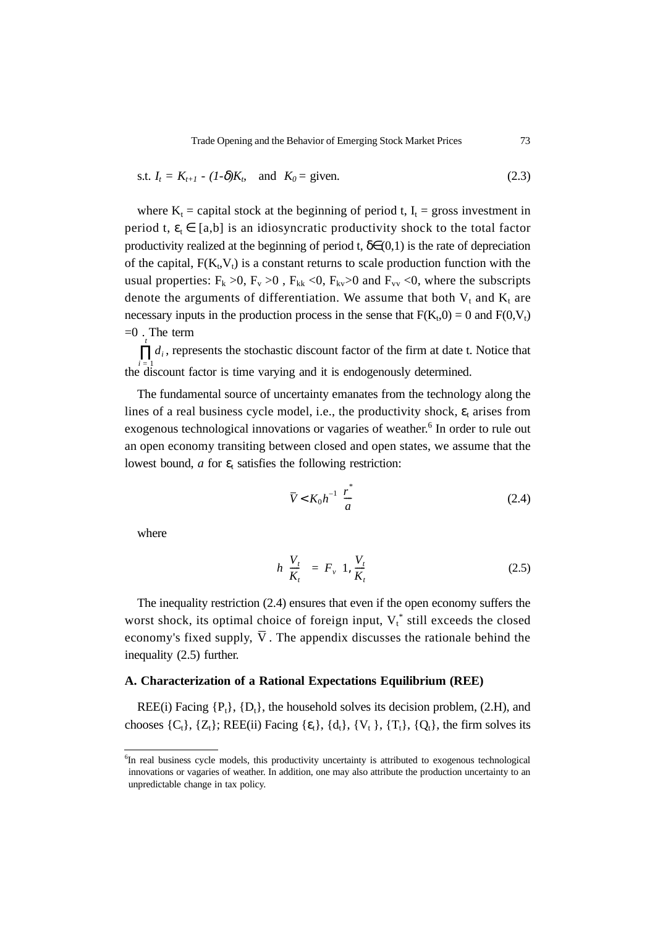Trade Opening and the Behavior of Emerging Stock Market Prices 73

$$
\text{s.t. } I_t = K_{t+1} - (1-\delta)K_t \quad \text{and} \quad K_0 = \text{given.} \tag{2.3}
$$

where  $K_t$  = capital stock at the beginning of period t,  $I_t$  = gross investment in period t,  $\varepsilon_t \in [a,b]$  is an idiosyncratic productivity shock to the total factor productivity realized at the beginning of period t,  $\delta \in (0,1)$  is the rate of depreciation of the capital,  $F(K_t,V_t)$  is a constant returns to scale production function with the usual properties:  $F_k > 0$ ,  $F_v > 0$ ,  $F_{kk} < 0$ ,  $F_{kv} > 0$  and  $F_{vv} < 0$ , where the subscripts denote the arguments of differentiation. We assume that both  $V_t$  and  $K_t$  are necessary inputs in the production process in the sense that  $F(K_t,0) = 0$  and  $F(0,V_t)$  $=0$ . The term

 $\prod t_i$ , represents the stochastic discount factor of the firm at date t. Notice that the discount factor is time varying and it is endogenously determined.

The fundamental source of uncertainty emanates from the technology along the lines of a real business cycle model, i.e., the productivity shock,  $\varepsilon_t$  arises from exogenous technological innovations or vagaries of weather.<sup>6</sup> In order to rule out an open economy transiting between closed and open states, we assume that the lowest bound, *a* for  $\varepsilon$ <sub>t</sub> satisfies the following restriction:

$$
\overline{V} < K_0 h^{-1} \left( \frac{r^*}{a} \right) \tag{2.4}
$$

where

$$
h\left(\frac{V_t}{K_t}\right) = F_v\left(1, \frac{V_t}{K_t}\right) \tag{2.5}
$$

The inequality restriction (2.4) ensures that even if the open economy suffers the worst shock, its optimal choice of foreign input,  $V_t^*$  still exceeds the closed economy's fixed supply, V. The appendix discusses the rationale behind the inequality (2.5) further.

#### **A. Characterization of a Rational Expectations Equilibrium (REE)**

REE(i) Facing  $\{P_t\}$ ,  $\{D_t\}$ , the household solves its decision problem, (2.H), and chooses  $\{C_t\}$ ,  $\{Z_t\}$ ; REE(ii) Facing  $\{\epsilon_t\}$ ,  $\{d_t\}$ ,  $\{V_t\}$ ,  $\{T_t\}$ ,  $\{Q_t\}$ , the firm solves its

<sup>&</sup>lt;sup>6</sup>In real business cycle models, this productivity uncertainty is attributed to exogenous technological innovations or vagaries of weather. In addition, one may also attribute the production uncertainty to an unpredictable change in tax policy.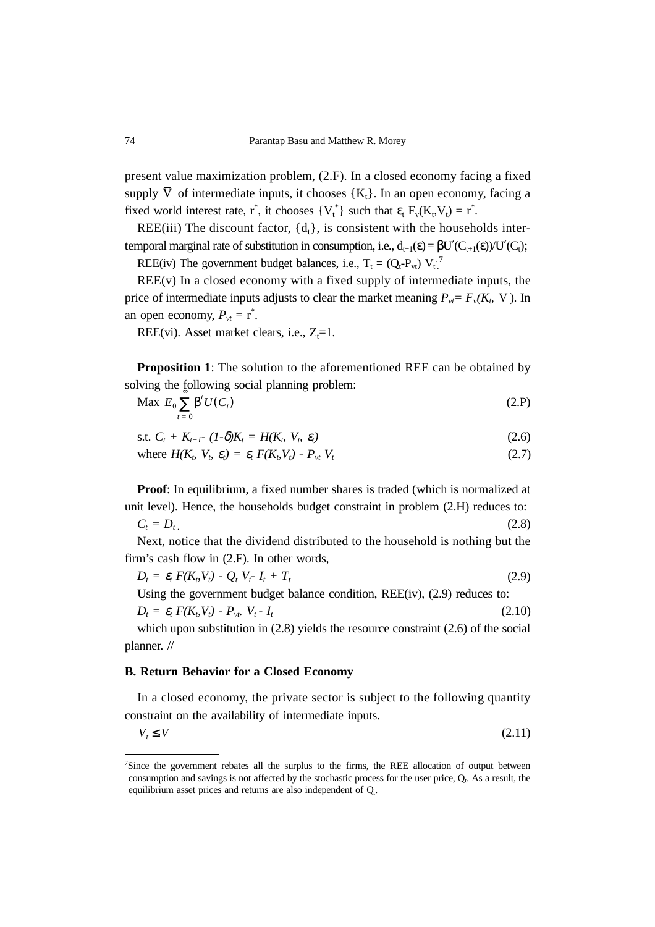present value maximization problem, (2.F). In a closed economy facing a fixed supply V of intermediate inputs, it chooses  ${K_t}$ . In an open economy, facing a fixed world interest rate,  $r^*$ , it chooses  $\{V_t^*\}$  such that  $\varepsilon_t$   $F_v(K_t, V_t) = r^*$ .

REE(iii) The discount factor,  $\{d_t\}$ , is consistent with the households intertemporal marginal rate of substitution in consumption, i.e.,  $d_{t+1}(\epsilon) = \beta U'(C_{t+1}(\epsilon))/U'(C_t)$ ;

REE(iv) The government budget balances, i.e.,  $T_t = (Q_t - P_{vt}) V_t^2$ 

 $REE(v)$  In a closed economy with a fixed supply of intermediate inputs, the price of intermediate inputs adjusts to clear the market meaning  $P_{vt} = F_v(K_b, \overline{V})$ . In an open economy,  $P_{vt} = r^*$ .

REE(vi). Asset market clears, i.e.,  $Z_i = 1$ .

**Proposition 1**: The solution to the aforementioned REE can be obtained by solving the following social planning problem:

$$
\text{Max } E_0 \sum_{t=0} \beta^t U(C_t) \tag{2.P}
$$

s.t.  $C_t + K_{t+1} - (1-\delta)K_t = H(K_t, V_t, \varepsilon_t)$  (2.6)

where 
$$
H(K_b, V_b, \varepsilon_t) = \varepsilon_t F(K_b V_t) - P_{vt} V_t
$$
 (2.7)

**Proof**: In equilibrium, a fixed number shares is traded (which is normalized at unit level). Hence, the households budget constraint in problem (2.H) reduces to:  $C_t = D_t$  (2.8)

Next, notice that the dividend distributed to the household is nothing but the firm's cash flow in (2.F). In other words,

 $D_t = \varepsilon_t F(K_b V_t) - Q_t V_t - I_t + T_t$  (2.9) Using the government budget balance condition, REE(iv), (2.9) reduces to:

 $D_t = \varepsilon_t F(K_b V_t) - P_{vt} V_t - I_t$  (2.10)

which upon substitution in  $(2.8)$  yields the resource constraint  $(2.6)$  of the social planner. //

#### **B. Return Behavior for a Closed Economy**

In a closed economy, the private sector is subject to the following quantity constraint on the availability of intermediate inputs.

(2.11)  $V_t \leq \overline{V}$ 

<sup>&</sup>lt;sup>7</sup>Since the government rebates all the surplus to the firms, the REE allocation of output between consumption and savings is not affected by the stochastic process for the user price,  $Q_t$ . As a result, the equilibrium asset prices and returns are also independent of  $Q_t$ .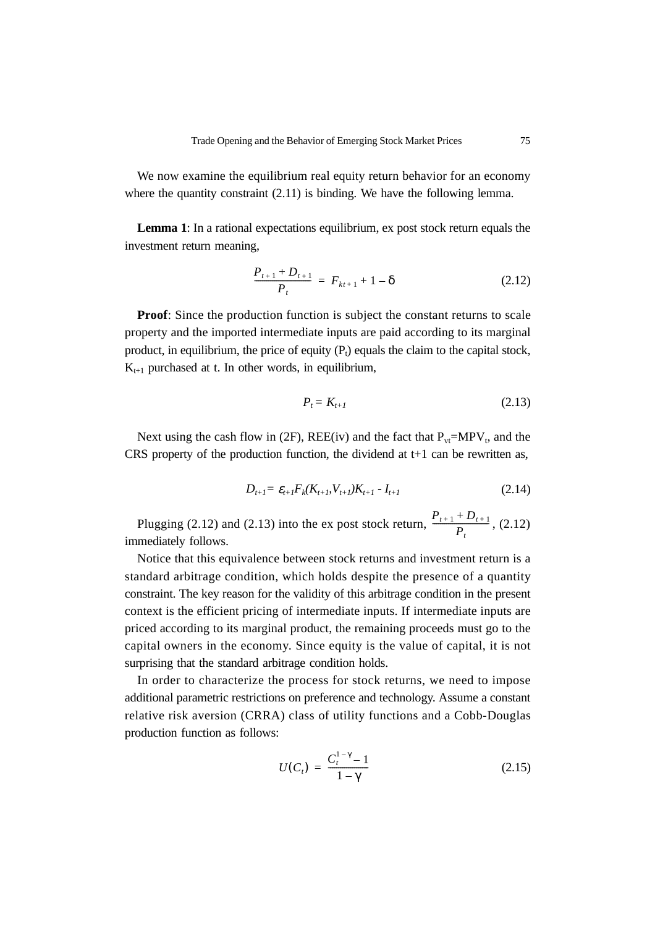We now examine the equilibrium real equity return behavior for an economy where the quantity constraint  $(2.11)$  is binding. We have the following lemma.

**Lemma 1**: In a rational expectations equilibrium, ex post stock return equals the investment return meaning,

$$
\frac{P_{t+1} + D_{t+1}}{P_t} = F_{kt+1} + 1 - \delta \tag{2.12}
$$

**Proof:** Since the production function is subject the constant returns to scale property and the imported intermediate inputs are paid according to its marginal product, in equilibrium, the price of equity  $(P_t)$  equals the claim to the capital stock,  $K_{t+1}$  purchased at t. In other words, in equilibrium,

$$
P_t = K_{t+1} \tag{2.13}
$$

Next using the cash flow in (2F), REE(iv) and the fact that  $P_{vt} = MPV_t$ , and the CRS property of the production function, the dividend at  $t+1$  can be rewritten as,

$$
D_{t+1} = \varepsilon_{t+1} F_k(K_{t+1}, V_{t+1}) K_{t+1} - I_{t+1}
$$
\n(2.14)

Plugging (2.12) and (2.13) into the ex post stock return,  $\frac{P_{t+1} + D_{t+1}}{P}$ , (2.12) immediately follows.  $\frac{P_{t+1} + D_{t+1}}{P_t}$ 

Notice that this equivalence between stock returns and investment return is a standard arbitrage condition, which holds despite the presence of a quantity constraint. The key reason for the validity of this arbitrage condition in the present context is the efficient pricing of intermediate inputs. If intermediate inputs are priced according to its marginal product, the remaining proceeds must go to the capital owners in the economy. Since equity is the value of capital, it is not surprising that the standard arbitrage condition holds.

In order to characterize the process for stock returns, we need to impose additional parametric restrictions on preference and technology. Assume a constant relative risk aversion (CRRA) class of utility functions and a Cobb-Douglas production function as follows:

$$
U(C_t) = \frac{C_t^{1-\gamma} - 1}{1 - \gamma}
$$
 (2.15)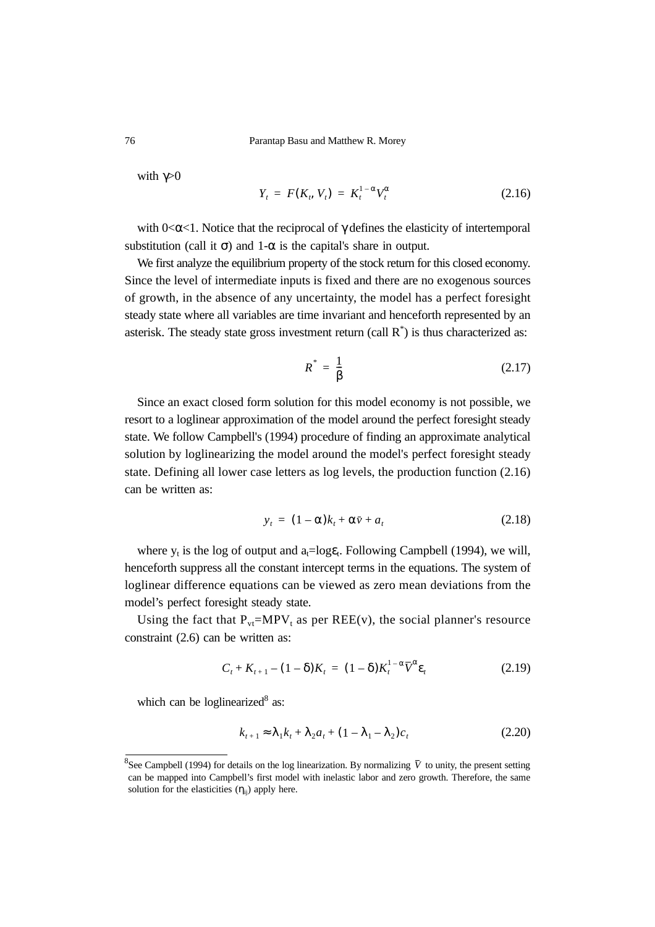76 Parantap Basu and Matthew R. Morey

with  $\gamma > 0$ 

$$
Y_t = F(K_t, V_t) = K_t^{1-\alpha} V_t^{\alpha} \qquad (2.16)
$$

with  $0 < \alpha < 1$ . Notice that the reciprocal of  $\gamma$  defines the elasticity of intertemporal substitution (call it  $\sigma$ ) and 1- $\alpha$  is the capital's share in output.

We first analyze the equilibrium property of the stock return for this closed economy. Since the level of intermediate inputs is fixed and there are no exogenous sources of growth, in the absence of any uncertainty, the model has a perfect foresight steady state where all variables are time invariant and henceforth represented by an asterisk. The steady state gross investment return (call  $R^*$ ) is thus characterized as:

$$
R^* = \frac{1}{\beta} \tag{2.17}
$$

Since an exact closed form solution for this model economy is not possible, we resort to a loglinear approximation of the model around the perfect foresight steady state. We follow Campbell's (1994) procedure of finding an approximate analytical solution by loglinearizing the model around the model's perfect foresight steady state. Defining all lower case letters as log levels, the production function (2.16) can be written as:

$$
y_t = (1 - \alpha)k_t + \alpha \bar{v} + a_t \tag{2.18}
$$

where  $y_t$  is the log of output and  $a_t = log \epsilon_t$ . Following Campbell (1994), we will, henceforth suppress all the constant intercept terms in the equations. The system of loglinear difference equations can be viewed as zero mean deviations from the model's perfect foresight steady state.

Using the fact that  $P_{vt} = MPV_t$  as per REE(v), the social planner's resource constraint (2.6) can be written as:

$$
C_t + K_{t+1} - (1 - \delta)K_t = (1 - \delta)K_t^{1 - \alpha} \overline{V}^{\alpha} \varepsilon_t
$$
\n(2.19)

which can be loglinearized $8$  as:

$$
k_{t+1} \approx \lambda_1 k_t + \lambda_2 a_t + (1 - \lambda_1 - \lambda_2)c_t
$$
 (2.20)

<sup>&</sup>lt;sup>8</sup>See Campbell (1994) for details on the log linearization. By normalizing  $\bar{V}$  to unity, the present setting can be mapped into Campbell's first model with inelastic labor and zero growth. Therefore, the same solution for the elasticities  $(\eta_{ii})$  apply here.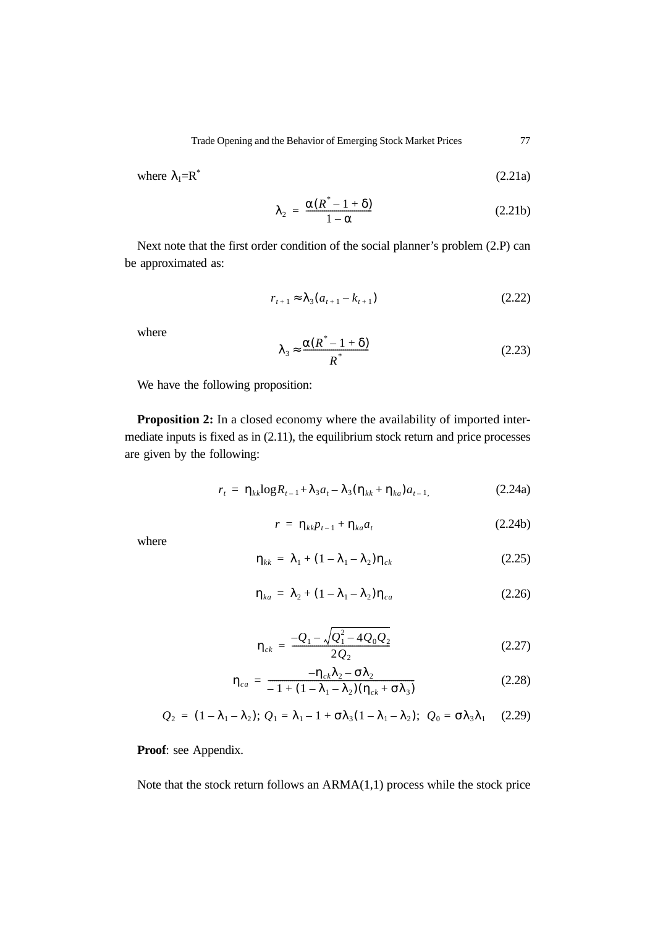where 
$$
\lambda_1 = \mathbf{R}^*
$$
 (2.21a)

$$
\lambda_2 = \frac{\alpha (R^* - 1 + \delta)}{1 - \alpha} \tag{2.21b}
$$

Next note that the first order condition of the social planner's problem (2.P) can be approximated as:

$$
r_{t+1} \approx \lambda_3 (a_{t+1} - k_{t+1}) \tag{2.22}
$$

where

$$
\lambda_3 \approx \frac{\alpha (R^* - 1 + \delta)}{R^*}
$$
 (2.23)

We have the following proposition:

**Proposition 2:** In a closed economy where the availability of imported intermediate inputs is fixed as in (2.11), the equilibrium stock return and price processes are given by the following:

$$
r_{t} = \eta_{kk} \log R_{t-1} + \lambda_{3} a_{t} - \lambda_{3} (\eta_{kk} + \eta_{ka}) a_{t-1}, \qquad (2.24a)
$$

$$
r = \eta_{kk} p_{t-1} + \eta_{ka} a_t \tag{2.24b}
$$

where

$$
\eta_{kk} = \lambda_1 + (1 - \lambda_1 - \lambda_2)\eta_{ck} \tag{2.25}
$$

$$
\eta_{ka} = \lambda_2 + (1 - \lambda_1 - \lambda_2)\eta_{ca}
$$
 (2.26)

$$
\eta_{ck} = \frac{-Q_1 - \sqrt{Q_1^2 - 4Q_0 Q_2}}{2Q_2} \tag{2.27}
$$

$$
\eta_{ca} = \frac{-\eta_{ck}\lambda_2 - \sigma\lambda_2}{-1 + (1 - \lambda_1 - \lambda_2)(\eta_{ck} + \sigma\lambda_3)}
$$
(2.28)

$$
Q_2 = (1 - \lambda_1 - \lambda_2); Q_1 = \lambda_1 - 1 + \sigma \lambda_3 (1 - \lambda_1 - \lambda_2); Q_0 = \sigma \lambda_3 \lambda_1
$$
 (2.29)

**Proof**: see Appendix.

Note that the stock return follows an  $ARMA(1,1)$  process while the stock price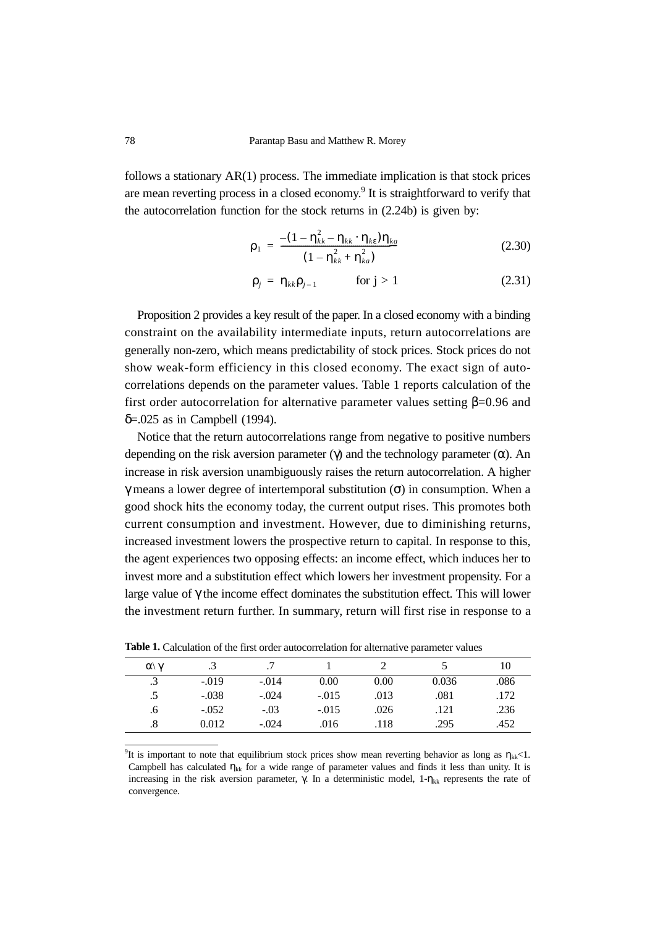follows a stationary AR(1) process. The immediate implication is that stock prices are mean reverting process in a closed economy.<sup>9</sup> It is straightforward to verify that the autocorrelation function for the stock returns in (2.24b) is given by:

$$
\rho_1 = \frac{-(1 - \eta_{kk}^2 - \eta_{kk} \cdot \eta_{ke})\eta_{ka}}{(1 - \eta_{kk}^2 + \eta_{ka}^2)}
$$
(2.30)

$$
\rho_j = \eta_{kk}\rho_{j-1} \qquad \text{for } j > 1 \tag{2.31}
$$

Proposition 2 provides a key result of the paper. In a closed economy with a binding constraint on the availability intermediate inputs, return autocorrelations are generally non-zero, which means predictability of stock prices. Stock prices do not show weak-form efficiency in this closed economy. The exact sign of autocorrelations depends on the parameter values. Table 1 reports calculation of the first order autocorrelation for alternative parameter values setting  $\beta$ =0.96 and δ=.025 as in Campbell (1994).

Notice that the return autocorrelations range from negative to positive numbers depending on the risk aversion parameter (γ) and the technology parameter ( $\alpha$ ). An increase in risk aversion unambiguously raises the return autocorrelation. A higher γ means a lower degree of intertemporal substitution (σ) in consumption. When a good shock hits the economy today, the current output rises. This promotes both current consumption and investment. However, due to diminishing returns, increased investment lowers the prospective return to capital. In response to this, the agent experiences two opposing effects: an income effect, which induces her to invest more and a substitution effect which lowers her investment propensity. For a large value of γ the income effect dominates the substitution effect. This will lower the investment return further. In summary, return will first rise in response to a

| $\alpha \gamma$ | .3      |         |         |      |       | 10   |
|-----------------|---------|---------|---------|------|-------|------|
| .3              | $-.019$ | $-.014$ | 0.00    | 0.00 | 0.036 | .086 |
| .5              | $-.038$ | $-.024$ | $-.015$ | .013 | .081  | .172 |
| .6              | $-.052$ | $-.03$  | $-.015$ | .026 | .121  | .236 |
|                 | 0.012   | $-.024$ | .016    | .118 | .295  | .452 |

**Table 1.** Calculation of the first order autocorrelation for alternative parameter values

<sup>9</sup>It is important to note that equilibrium stock prices show mean reverting behavior as long as  $\eta_{kk}$ <1. Campbell has calculated  $\eta_{kk}$  for a wide range of parameter values and finds it less than unity. It is increasing in the risk aversion parameter, γ. In a deterministic model,  $1$ -η<sub>kk</sub> represents the rate of convergence.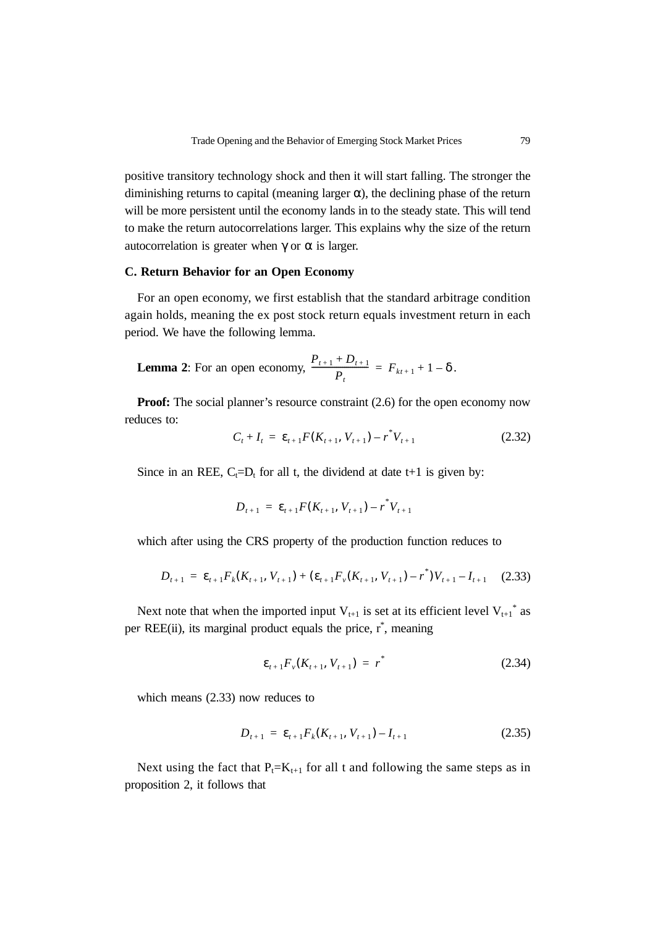positive transitory technology shock and then it will start falling. The stronger the diminishing returns to capital (meaning larger  $\alpha$ ), the declining phase of the return will be more persistent until the economy lands in to the steady state. This will tend to make the return autocorrelations larger. This explains why the size of the return autocorrelation is greater when  $γ$  or  $α$  is larger.

### **C. Return Behavior for an Open Economy**

For an open economy, we first establish that the standard arbitrage condition again holds, meaning the ex post stock return equals investment return in each period. We have the following lemma.

**Lemma 2:** For an open economy, 
$$
\frac{P_{t+1} + D_{t+1}}{P_t} = F_{kt+1} + 1 - \delta
$$
.

**Proof:** The social planner's resource constraint (2.6) for the open economy now reduces to:

$$
C_t + I_t = \varepsilon_{t+1} F(K_{t+1}, V_{t+1}) - r^* V_{t+1}
$$
\n(2.32)

Since in an REE,  $C_t=D_t$  for all t, the dividend at date t+1 is given by:

$$
D_{t+1} = \varepsilon_{t+1} F(K_{t+1}, V_{t+1}) - r^* V_{t+1}
$$

which after using the CRS property of the production function reduces to

$$
D_{t+1} = \varepsilon_{t+1} F_k(K_{t+1}, V_{t+1}) + (\varepsilon_{t+1} F_v(K_{t+1}, V_{t+1}) - r^*) V_{t+1} - I_{t+1}
$$
 (2.33)

Next note that when the imported input  $V_{t+1}$  is set at its efficient level  $V_{t+1}^*$  as per REE(ii), its marginal product equals the price, r<sup>\*</sup>, meaning

$$
\varepsilon_{t+1} F_{\nu}(K_{t+1}, V_{t+1}) = r^* \tag{2.34}
$$

which means (2.33) now reduces to

$$
D_{t+1} = \varepsilon_{t+1} F_k(K_{t+1}, V_{t+1}) - I_{t+1}
$$
\n(2.35)

Next using the fact that  $P_t=K_{t+1}$  for all t and following the same steps as in proposition 2, it follows that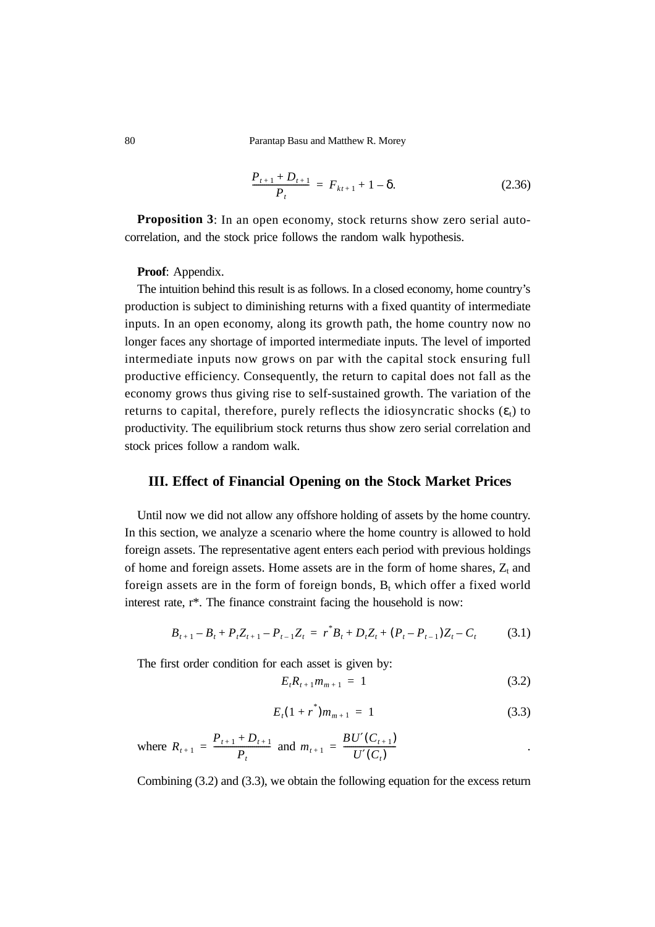80 Parantap Basu and Matthew R. Morey

$$
\frac{P_{t+1} + D_{t+1}}{P_t} = F_{kt+1} + 1 - \delta.
$$
 (2.36)

**Proposition 3**: In an open economy, stock returns show zero serial autocorrelation, and the stock price follows the random walk hypothesis.

**Proof**: Appendix.

The intuition behind this result is as follows. In a closed economy, home country's production is subject to diminishing returns with a fixed quantity of intermediate inputs. In an open economy, along its growth path, the home country now no longer faces any shortage of imported intermediate inputs. The level of imported intermediate inputs now grows on par with the capital stock ensuring full productive efficiency. Consequently, the return to capital does not fall as the economy grows thus giving rise to self-sustained growth. The variation of the returns to capital, therefore, purely reflects the idiosyncratic shocks  $(\varepsilon_t)$  to productivity. The equilibrium stock returns thus show zero serial correlation and stock prices follow a random walk.

#### **III. Effect of Financial Opening on the Stock Market Prices**

Until now we did not allow any offshore holding of assets by the home country. In this section, we analyze a scenario where the home country is allowed to hold foreign assets. The representative agent enters each period with previous holdings of home and foreign assets. Home assets are in the form of home shares,  $Z_t$  and foreign assets are in the form of foreign bonds,  $B_t$  which offer a fixed world interest rate, r\*. The finance constraint facing the household is now:

$$
B_{t+1} - B_t + P_t Z_{t+1} - P_{t-1} Z_t = r^* B_t + D_t Z_t + (P_t - P_{t-1}) Z_t - C_t \tag{3.1}
$$

The first order condition for each asset is given by:

$$
E_t R_{t+1} m_{m+1} = 1 \tag{3.2}
$$

$$
E_t(1+r^*)m_{m+1} = 1 \tag{3.3}
$$

where 
$$
R_{t+1} = \frac{P_{t+1} + D_{t+1}}{P_t}
$$
 and  $m_{t+1} = \frac{BU'(C_{t+1})}{U'(C_t)}$ .

Combining (3.2) and (3.3), we obtain the following equation for the excess return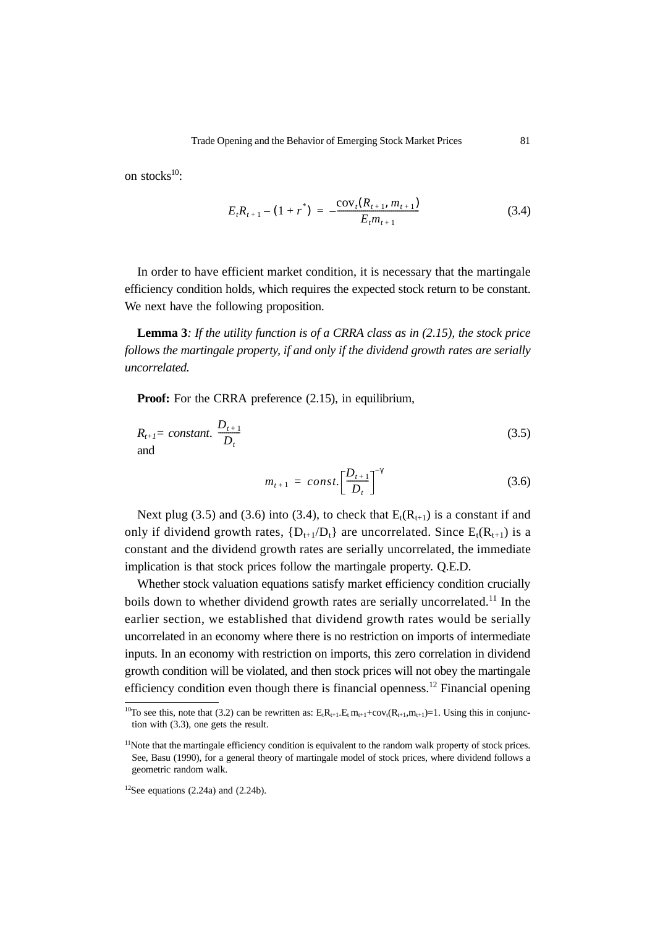on stocks $^{10}$ :

$$
E_t R_{t+1} - (1 + r^*) = -\frac{\text{cov}_t(R_{t+1}, m_{t+1})}{E_t m_{t+1}}
$$
(3.4)

In order to have efficient market condition, it is necessary that the martingale efficiency condition holds, which requires the expected stock return to be constant. We next have the following proposition.

**Lemma 3***: If the utility function is of a CRRA class as in (2.15), the stock price follows the martingale property, if and only if the dividend growth rates are serially uncorrelated.* 

**Proof:** For the CRRA preference (2.15), in equilibrium,

$$
R_{t+1} = constant. \frac{D_{t+1}}{D_t}
$$
 (3.5)

$$
m_{t+1} = const. \left[\frac{D_{t+1}}{D_t}\right]^{-\gamma} \tag{3.6}
$$

Next plug (3.5) and (3.6) into (3.4), to check that  $E_t(R_{t+1})$  is a constant if and only if dividend growth rates,  ${D_{t+1}/D_t}$  are uncorrelated. Since  $E_t(R_{t+1})$  is a constant and the dividend growth rates are serially uncorrelated, the immediate implication is that stock prices follow the martingale property. Q.E.D.

Whether stock valuation equations satisfy market efficiency condition crucially boils down to whether dividend growth rates are serially uncorrelated.<sup>11</sup> In the earlier section, we established that dividend growth rates would be serially uncorrelated in an economy where there is no restriction on imports of intermediate inputs. In an economy with restriction on imports, this zero correlation in dividend growth condition will be violated, and then stock prices will not obey the martingale efficiency condition even though there is financial openness.<sup>12</sup> Financial opening

<sup>&</sup>lt;sup>10</sup>To see this, note that (3.2) can be rewritten as:  $E_t R_{t+1}E_t m_{t+1}+cov_t(R_{t+1},m_{t+1})=1$ . Using this in conjunction with (3.3), one gets the result.

 $<sup>11</sup>$ Note that the martingale efficiency condition is equivalent to the random walk property of stock prices.</sup> See, Basu (1990), for a general theory of martingale model of stock prices, where dividend follows a geometric random walk.

 $12$ See equations (2.24a) and (2.24b).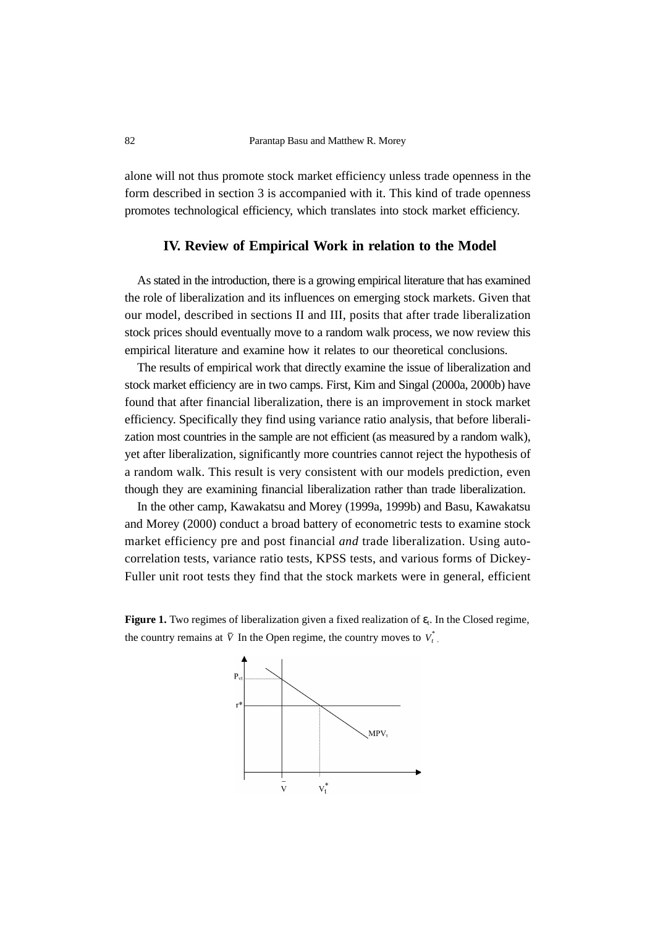alone will not thus promote stock market efficiency unless trade openness in the form described in section 3 is accompanied with it. This kind of trade openness promotes technological efficiency, which translates into stock market efficiency.

# **IV. Review of Empirical Work in relation to the Model**

As stated in the introduction, there is a growing empirical literature that has examined the role of liberalization and its influences on emerging stock markets. Given that our model, described in sections II and III, posits that after trade liberalization stock prices should eventually move to a random walk process, we now review this empirical literature and examine how it relates to our theoretical conclusions.

The results of empirical work that directly examine the issue of liberalization and stock market efficiency are in two camps. First, Kim and Singal (2000a, 2000b) have found that after financial liberalization, there is an improvement in stock market efficiency. Specifically they find using variance ratio analysis, that before liberalization most countries in the sample are not efficient (as measured by a random walk), yet after liberalization, significantly more countries cannot reject the hypothesis of a random walk. This result is very consistent with our models prediction, even though they are examining financial liberalization rather than trade liberalization.

In the other camp, Kawakatsu and Morey (1999a, 1999b) and Basu, Kawakatsu and Morey (2000) conduct a broad battery of econometric tests to examine stock market efficiency pre and post financial *and* trade liberalization. Using autocorrelation tests, variance ratio tests, KPSS tests, and various forms of Dickey-Fuller unit root tests they find that the stock markets were in general, efficient

**Figure 1.** Two regimes of liberalization given a fixed realization of  $\varepsilon_t$ . In the Closed regime, the country remains at  $\bar{V}$  In the Open regime, the country moves to  $V_t^*$ .

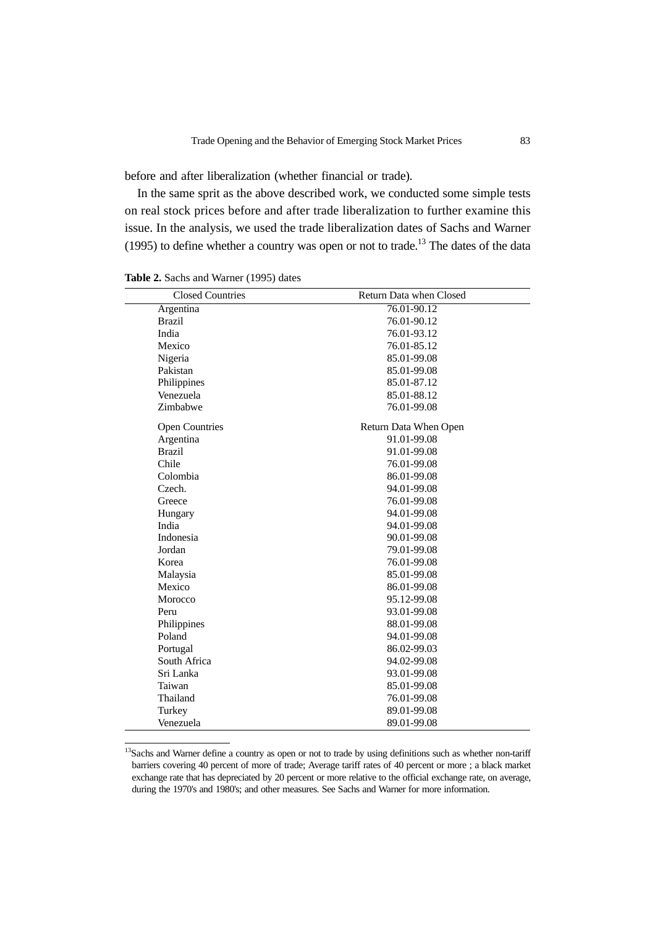before and after liberalization (whether financial or trade).

In the same sprit as the above described work, we conducted some simple tests on real stock prices before and after trade liberalization to further examine this issue. In the analysis, we used the trade liberalization dates of Sachs and Warner (1995) to define whether a country was open or not to trade.<sup>13</sup> The dates of the data

| <b>Closed Countries</b> | Return Data when Closed |  |  |
|-------------------------|-------------------------|--|--|
| Argentina               | 76.01-90.12             |  |  |
| <b>Brazil</b>           | 76.01-90.12             |  |  |
| India                   | 76.01-93.12             |  |  |
| Mexico                  | 76.01-85.12             |  |  |
| Nigeria                 | 85.01-99.08             |  |  |
| Pakistan                | 85.01-99.08             |  |  |
| Philippines             | 85.01-87.12             |  |  |
| Venezuela               | 85.01-88.12             |  |  |
| Zimbabwe                | 76.01-99.08             |  |  |
| <b>Open Countries</b>   | Return Data When Open   |  |  |
| Argentina               | 91.01-99.08             |  |  |
| <b>Brazil</b>           | 91.01-99.08             |  |  |
| Chile                   | 76.01-99.08             |  |  |
| Colombia                | 86.01-99.08             |  |  |
| Czech.                  | 94.01-99.08             |  |  |
| Greece                  | 76.01-99.08             |  |  |
| Hungary                 | 94.01-99.08             |  |  |
| India                   | 94.01-99.08             |  |  |
| Indonesia               | 90.01-99.08             |  |  |
| Jordan                  | 79.01-99.08             |  |  |
| Korea                   | 76.01-99.08             |  |  |
| Malaysia                | 85.01-99.08             |  |  |
| Mexico                  | 86.01-99.08             |  |  |
| Morocco                 | 95.12-99.08             |  |  |
| Peru                    | 93.01-99.08             |  |  |
| Philippines             | 88.01-99.08             |  |  |
| Poland                  | 94.01-99.08             |  |  |
| Portugal                | 86.02-99.03             |  |  |
| South Africa            | 94.02-99.08             |  |  |
| Sri Lanka               | 93.01-99.08             |  |  |
| Taiwan                  | 85.01-99.08             |  |  |
| Thailand                | 76.01-99.08             |  |  |
| Turkey                  | 89.01-99.08             |  |  |
| Venezuela               | 89.01-99.08             |  |  |

Table 2. Sachs and Warner (1995) dates

<sup>13</sup>Sachs and Warner define a country as open or not to trade by using definitions such as whether non-tariff barriers covering 40 percent of more of trade; Average tariff rates of 40 percent or more ; a black market exchange rate that has depreciated by 20 percent or more relative to the official exchange rate, on average, during the 1970's and 1980's; and other measures. See Sachs and Warner for more information.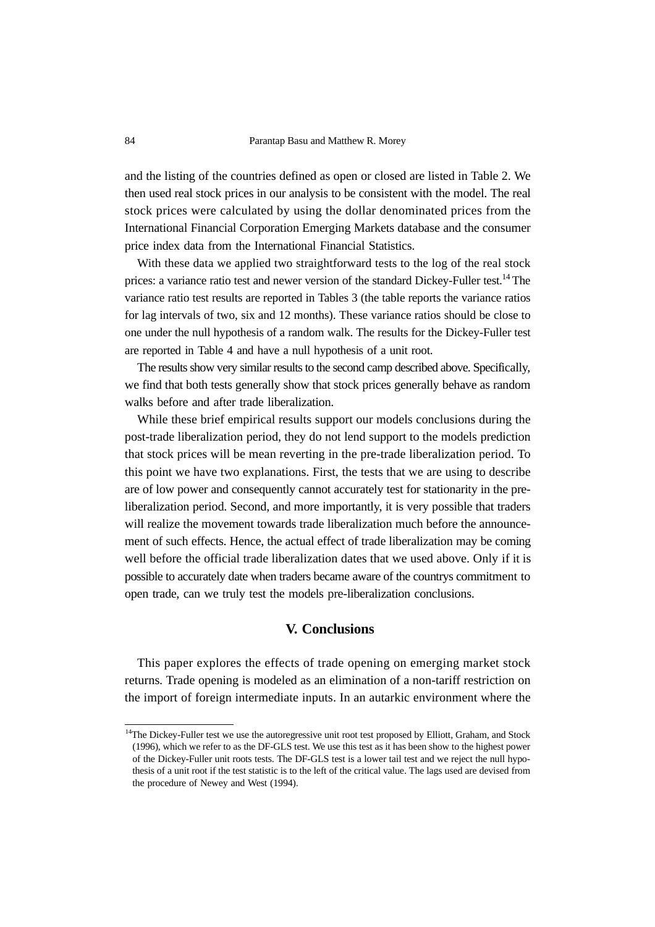and the listing of the countries defined as open or closed are listed in Table 2. We then used real stock prices in our analysis to be consistent with the model. The real stock prices were calculated by using the dollar denominated prices from the International Financial Corporation Emerging Markets database and the consumer price index data from the International Financial Statistics.

With these data we applied two straightforward tests to the log of the real stock prices: a variance ratio test and newer version of the standard Dickey-Fuller test.<sup>14</sup> The variance ratio test results are reported in Tables 3 (the table reports the variance ratios for lag intervals of two, six and 12 months). These variance ratios should be close to one under the null hypothesis of a random walk. The results for the Dickey-Fuller test are reported in Table 4 and have a null hypothesis of a unit root.

The results show very similar results to the second camp described above. Specifically, we find that both tests generally show that stock prices generally behave as random walks before and after trade liberalization.

While these brief empirical results support our models conclusions during the post-trade liberalization period, they do not lend support to the models prediction that stock prices will be mean reverting in the pre-trade liberalization period. To this point we have two explanations. First, the tests that we are using to describe are of low power and consequently cannot accurately test for stationarity in the preliberalization period. Second, and more importantly, it is very possible that traders will realize the movement towards trade liberalization much before the announcement of such effects. Hence, the actual effect of trade liberalization may be coming well before the official trade liberalization dates that we used above. Only if it is possible to accurately date when traders became aware of the countrys commitment to open trade, can we truly test the models pre-liberalization conclusions.

# **V. Conclusions**

This paper explores the effects of trade opening on emerging market stock returns. Trade opening is modeled as an elimination of a non-tariff restriction on the import of foreign intermediate inputs. In an autarkic environment where the

<sup>&</sup>lt;sup>14</sup>The Dickey-Fuller test we use the autoregressive unit root test proposed by Elliott, Graham, and Stock (1996), which we refer to as the DF-GLS test. We use this test as it has been show to the highest power of the Dickey-Fuller unit roots tests. The DF-GLS test is a lower tail test and we reject the null hypothesis of a unit root if the test statistic is to the left of the critical value. The lags used are devised from the procedure of Newey and West (1994).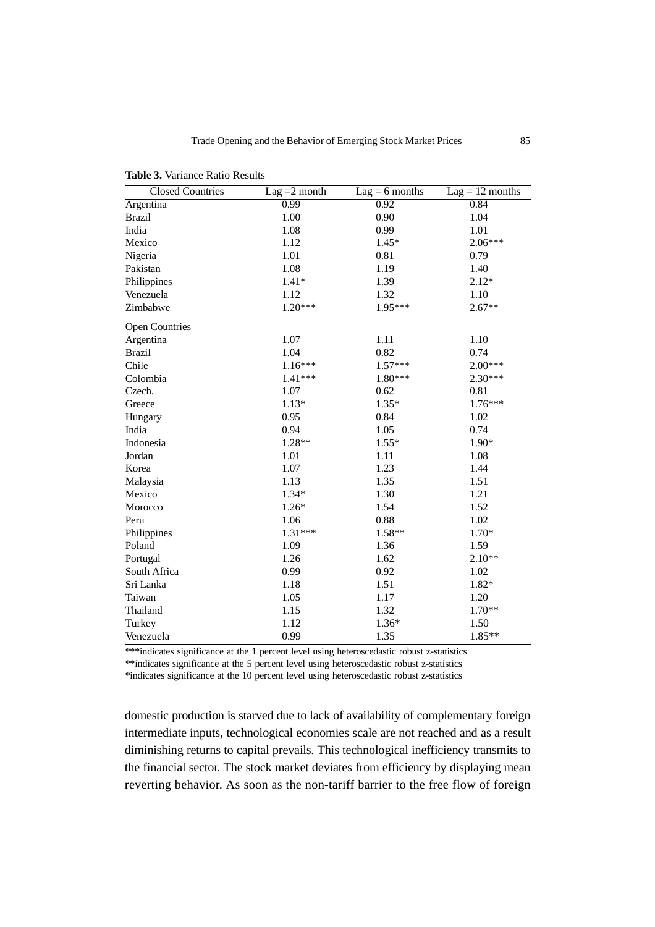| <b>Closed Countries</b> | Lag $=2$ month | $Lag = 6$ months | $Lag = 12$ months |
|-------------------------|----------------|------------------|-------------------|
| Argentina               | 0.99           | 0.92             | 0.84              |
| <b>Brazil</b>           | 1.00           | 0.90             | 1.04              |
| India                   | 1.08           | 0.99             | 1.01              |
| Mexico                  | 1.12           | $1.45*$          | 2.06***           |
| Nigeria                 | 1.01           | 0.81             | 0.79              |
| Pakistan                | 1.08           | 1.19             | 1.40              |
| Philippines             | $1.41*$        | 1.39             | $2.12*$           |
| Venezuela               | 1.12           | 1.32             | 1.10              |
| Zimbabwe                | $1.20***$      | 1.95***          | $2.67**$          |
| <b>Open Countries</b>   |                |                  |                   |
| Argentina               | 1.07           | 1.11             | 1.10              |
| <b>Brazil</b>           | 1.04           | 0.82             | 0.74              |
| Chile                   | $1.16***$      | $1.57***$        | 2.00***           |
| Colombia                | $1.41***$      | 1.80***          | 2.30***           |
| Czech.                  | 1.07           | 0.62             | 0.81              |
| Greece                  | $1.13*$        | $1.35*$          | $1.76***$         |
| Hungary                 | 0.95           | 0.84             | 1.02              |
| India                   | 0.94           | 1.05             | 0.74              |
| Indonesia               | $1.28**$       | $1.55*$          | $1.90*$           |
| Jordan                  | 1.01           | 1.11             | 1.08              |
| Korea                   | 1.07           | 1.23             | 1.44              |
| Malaysia                | 1.13           | 1.35             | 1.51              |
| Mexico                  | $1.34*$        | 1.30             | 1.21              |
| Morocco                 | $1.26*$        | 1.54             | 1.52              |
| Peru                    | 1.06           | 0.88             | 1.02              |
| Philippines             | $1.31***$      | 1.58**           | $1.70*$           |
| Poland                  | 1.09           | 1.36             | 1.59              |
| Portugal                | 1.26           | 1.62             | $2.10**$          |
| South Africa            | 0.99           | 0.92             | 1.02              |
| Sri Lanka               | 1.18           | 1.51             | $1.82*$           |
| Taiwan                  | 1.05           | 1.17             | 1.20              |
| Thailand                | 1.15           | 1.32             | 1.70**            |
| Turkey                  | 1.12           | $1.36*$          | 1.50              |
| Venezuela               | 0.99           | 1.35             | $1.85**$          |

**Table 3.** Variance Ratio Results

\*\*\*indicates significance at the 1 percent level using heteroscedastic robust z-statistics

\*\*indicates significance at the 5 percent level using heteroscedastic robust z-statistics

\*indicates significance at the 10 percent level using heteroscedastic robust z-statistics

domestic production is starved due to lack of availability of complementary foreign intermediate inputs, technological economies scale are not reached and as a result diminishing returns to capital prevails. This technological inefficiency transmits to the financial sector. The stock market deviates from efficiency by displaying mean reverting behavior. As soon as the non-tariff barrier to the free flow of foreign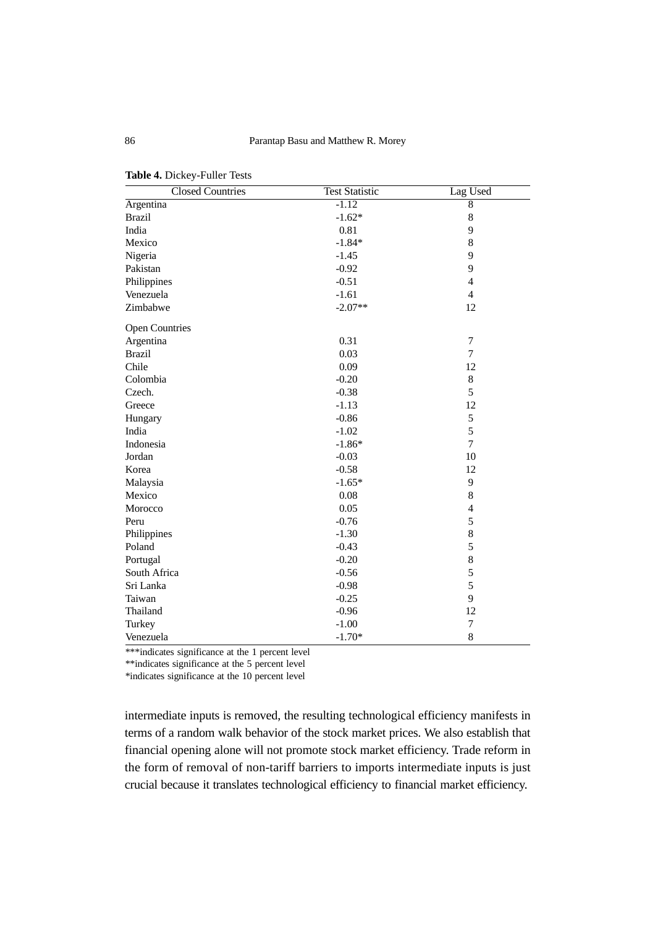| <b>Closed Countries</b> | <b>Test Statistic</b> | Lag Used       |
|-------------------------|-----------------------|----------------|
| Argentina               | $-1.12$               | $\overline{8}$ |
| <b>Brazil</b>           | $-1.62*$              | 8              |
| India                   | 0.81                  | 9              |
| Mexico                  | $-1.84*$              | 8              |
| Nigeria                 | $-1.45$               | 9              |
| Pakistan                | $-0.92$               | 9              |
| Philippines             | $-0.51$               | $\overline{4}$ |
| Venezuela               | $-1.61$               | $\overline{4}$ |
| Zimbabwe                | $-2.07**$             | 12             |
| <b>Open Countries</b>   |                       |                |
| Argentina               | 0.31                  | 7              |
| <b>Brazil</b>           | 0.03                  | $\overline{7}$ |
| Chile                   | 0.09                  | 12             |
| Colombia                | $-0.20$               | $\,8\,$        |
| Czech.                  | $-0.38$               | 5              |
| Greece                  | $-1.13$               | 12             |
| Hungary                 | $-0.86$               | 5              |
| India                   | $-1.02$               | 5              |
| Indonesia               | $-1.86*$              | 7              |
| Jordan                  | $-0.03$               | 10             |
| Korea                   | $-0.58$               | 12             |
| Malaysia                | $-1.65*$              | 9              |
| Mexico                  | 0.08                  | 8              |
| Morocco                 | 0.05                  | $\overline{4}$ |
| Peru                    | $-0.76$               | 5              |
| Philippines             | $-1.30$               | 8              |
| Poland                  | $-0.43$               | 5              |
| Portugal                | $-0.20$               | 8              |
| South Africa            | $-0.56$               | 5              |
| Sri Lanka               | $-0.98$               | 5              |
| Taiwan                  | $-0.25$               | 9              |
| Thailand                | $-0.96$               | 12             |
| Turkey                  | $-1.00$               | $\overline{7}$ |
| Venezuela               | $-1.70*$              | 8              |

**Table 4.** Dickey-Fuller Tests

\*\*\*indicates significance at the 1 percent level

\*\*indicates significance at the 5 percent level

\*indicates significance at the 10 percent level

intermediate inputs is removed, the resulting technological efficiency manifests in terms of a random walk behavior of the stock market prices. We also establish that financial opening alone will not promote stock market efficiency. Trade reform in the form of removal of non-tariff barriers to imports intermediate inputs is just crucial because it translates technological efficiency to financial market efficiency.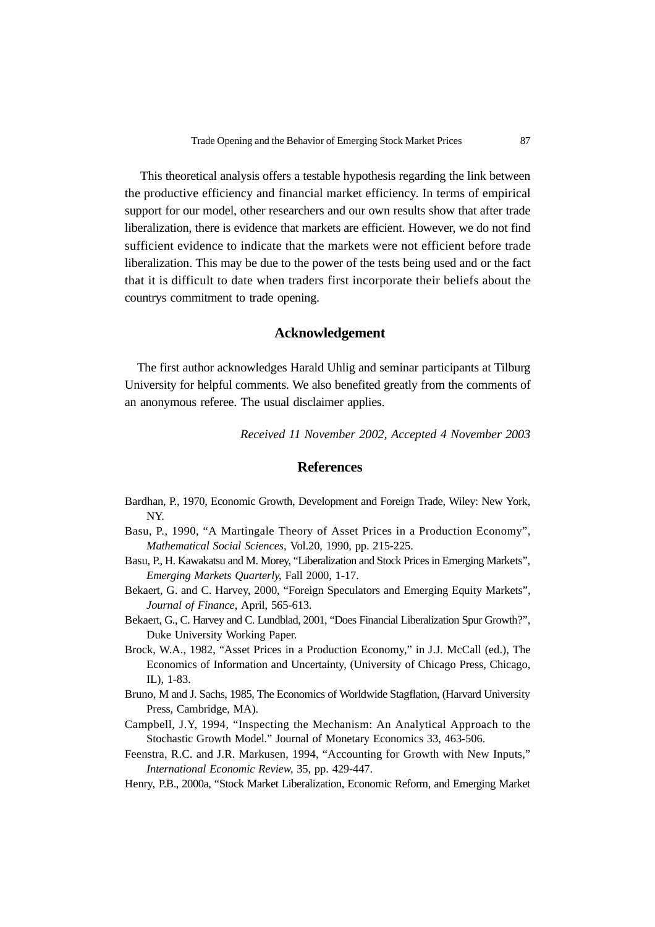This theoretical analysis offers a testable hypothesis regarding the link between the productive efficiency and financial market efficiency. In terms of empirical support for our model, other researchers and our own results show that after trade liberalization, there is evidence that markets are efficient. However, we do not find sufficient evidence to indicate that the markets were not efficient before trade liberalization. This may be due to the power of the tests being used and or the fact that it is difficult to date when traders first incorporate their beliefs about the countrys commitment to trade opening.

#### **Acknowledgement**

The first author acknowledges Harald Uhlig and seminar participants at Tilburg University for helpful comments. We also benefited greatly from the comments of an anonymous referee. The usual disclaimer applies.

*Received 11 November 2002, Accepted 4 November 2003*

## **References**

- Bardhan, P., 1970, Economic Growth, Development and Foreign Trade, Wiley: New York, NY.
- Basu, P., 1990, "A Martingale Theory of Asset Prices in a Production Economy", *Mathematical Social Sciences*, Vol.20, 1990, pp. 215-225.
- Basu, P., H. Kawakatsu and M. Morey, "Liberalization and Stock Prices in Emerging Markets", *Emerging Markets Quarterly*, Fall 2000, 1-17.
- Bekaert, G. and C. Harvey, 2000, "Foreign Speculators and Emerging Equity Markets", *Journal of Finance*, April, 565-613.
- Bekaert, G., C. Harvey and C. Lundblad, 2001, "Does Financial Liberalization Spur Growth?", Duke University Working Paper.
- Brock, W.A., 1982, "Asset Prices in a Production Economy," in J.J. McCall (ed.), The Economics of Information and Uncertainty, (University of Chicago Press, Chicago, IL), 1-83.
- Bruno, M and J. Sachs, 1985, The Economics of Worldwide Stagflation, (Harvard University Press, Cambridge, MA).
- Campbell, J.Y, 1994, "Inspecting the Mechanism: An Analytical Approach to the Stochastic Growth Model." Journal of Monetary Economics 33, 463-506.
- Feenstra, R.C. and J.R. Markusen, 1994, "Accounting for Growth with New Inputs," *International Economic Review*, 35, pp. 429-447.
- Henry, P.B., 2000a, "Stock Market Liberalization, Economic Reform, and Emerging Market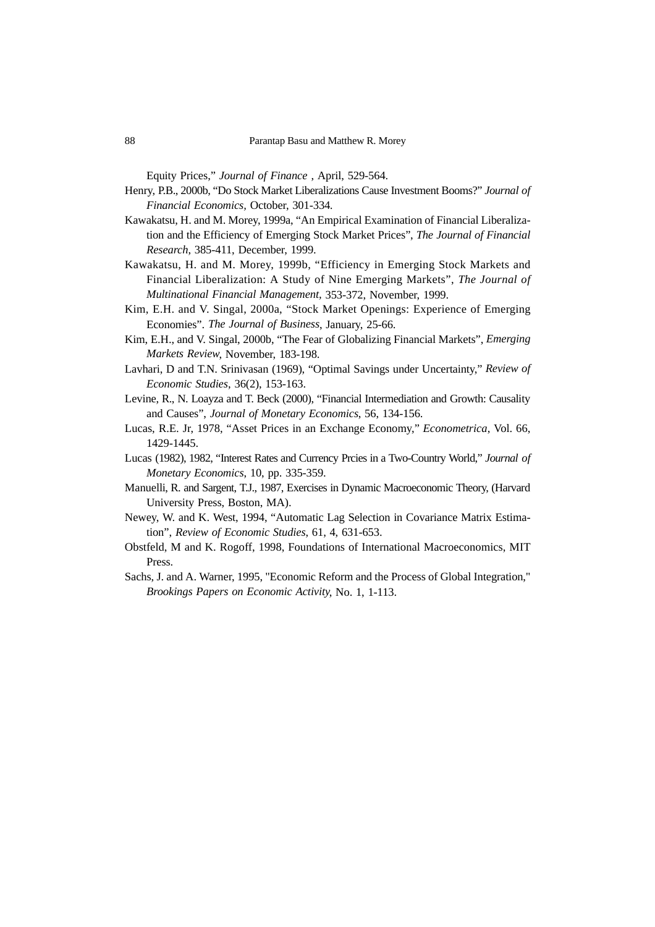Equity Prices," *Journal of Finance* , April, 529-564.

- Henry, P.B., 2000b, "Do Stock Market Liberalizations Cause Investment Booms?" *Journal of Financial Economics,* October, 301-334*.*
- Kawakatsu, H. and M. Morey, 1999a, "An Empirical Examination of Financial Liberalization and the Efficiency of Emerging Stock Market Prices", *The Journal of Financial Research*, 385-411, December, 1999.
- Kawakatsu, H. and M. Morey, 1999b, "Efficiency in Emerging Stock Markets and Financial Liberalization: A Study of Nine Emerging Markets", *The Journal of Multinational Financial Management,* 353-372, November, 1999.
- Kim, E.H. and V. Singal, 2000a, "Stock Market Openings: Experience of Emerging Economies". *The Journal of Business*, January, 25-66.
- Kim, E.H., and V. Singal, 2000b, "The Fear of Globalizing Financial Markets", *Emerging Markets Review*, November, 183-198.
- Lavhari, D and T.N. Srinivasan (1969), "Optimal Savings under Uncertainty," *Review of Economic Studies*, 36(2), 153-163.
- Levine, R., N. Loayza and T. Beck (2000), "Financial Intermediation and Growth: Causality and Causes", *Journal of Monetary Economics*, 56, 134-156.
- Lucas, R.E. Jr, 1978, "Asset Prices in an Exchange Economy," *Econometrica*, Vol. 66, 1429-1445.
- Lucas (1982), 1982, "Interest Rates and Currency Prcies in a Two-Country World," *Journal of Monetary Economics*, 10, pp. 335-359.
- Manuelli, R. and Sargent, T.J., 1987, Exercises in Dynamic Macroeconomic Theory, (Harvard University Press, Boston, MA).
- Newey, W. and K. West, 1994, "Automatic Lag Selection in Covariance Matrix Estimation", *Review of Economic Studies*, 61, 4, 631-653.
- Obstfeld, M and K. Rogoff, 1998, Foundations of International Macroeconomics, MIT Press.
- Sachs, J. and A. Warner, 1995, "Economic Reform and the Process of Global Integration," *Brookings Papers on Economic Activity*, No. 1, 1-113.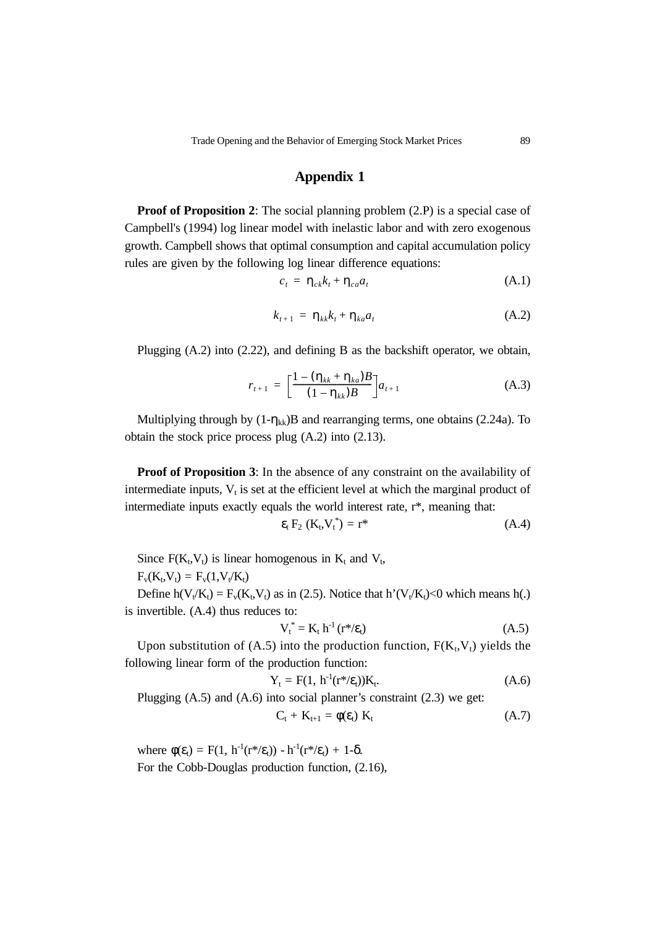# **Appendix 1**

**Proof of Proposition 2**: The social planning problem  $(2.P)$  is a special case of Campbell's (1994) log linear model with inelastic labor and with zero exogenous growth. Campbell shows that optimal consumption and capital accumulation policy rules are given by the following log linear difference equations:

$$
c_t = \eta_{ck} k_t + \eta_{ca} a_t \tag{A.1}
$$

$$
k_{t+1} = \eta_{kk}k_t + \eta_{ka}a_t \tag{A.2}
$$

Plugging (A.2) into (2.22), and defining B as the backshift operator, we obtain,

$$
r_{t+1} = \left[\frac{1 - (\eta_{kk} + \eta_{ka})B}{(1 - \eta_{kk})B}\right] a_{t+1}
$$
 (A.3)

Multiplying through by  $(1-\eta_{kk})B$  and rearranging terms, one obtains (2.24a). To obtain the stock price process plug (A.2) into (2.13).

**Proof of Proposition 3:** In the absence of any constraint on the availability of intermediate inputs,  $V_t$  is set at the efficient level at which the marginal product of intermediate inputs exactly equals the world interest rate, r\*, meaning that:

$$
\varepsilon_{t} F_{2} \left( K_{t}, V_{t}^{*} \right) = r^{*} \tag{A.4}
$$

Since  $F(K_t, V_t)$  is linear homogenous in  $K_t$  and  $V_t$ ,

 $F_v(K_t,V_t) = F_v(1,V_t/K_t)$ 

Define  $h(V_t/K_t) = F_v(K_t,V_t)$  as in (2.5). Notice that  $h'(V_t/K_t) < 0$  which means h(.) is invertible. (A.4) thus reduces to:

$$
V_t^* = K_t h^{-1} (r^* / \varepsilon_t)
$$
 (A.5)

Upon substitution of  $(A.5)$  into the production function,  $F(K_t,V_t)$  yields the following linear form of the production function:

$$
Y_t = F(1, h^{-1}(r^* / \varepsilon_t)) K_t.
$$
 (A.6)

Plugging (A.5) and (A.6) into social planner's constraint (2.3) we get:

$$
C_t + K_{t+1} = \phi(\varepsilon_t) K_t \tag{A.7}
$$

where  $\phi(\varepsilon_t) = F(1, h^{-1}(r^*/\varepsilon_t)) - h^{-1}(r^*/\varepsilon_t) + 1-\delta$ . For the Cobb-Douglas production function, (2.16),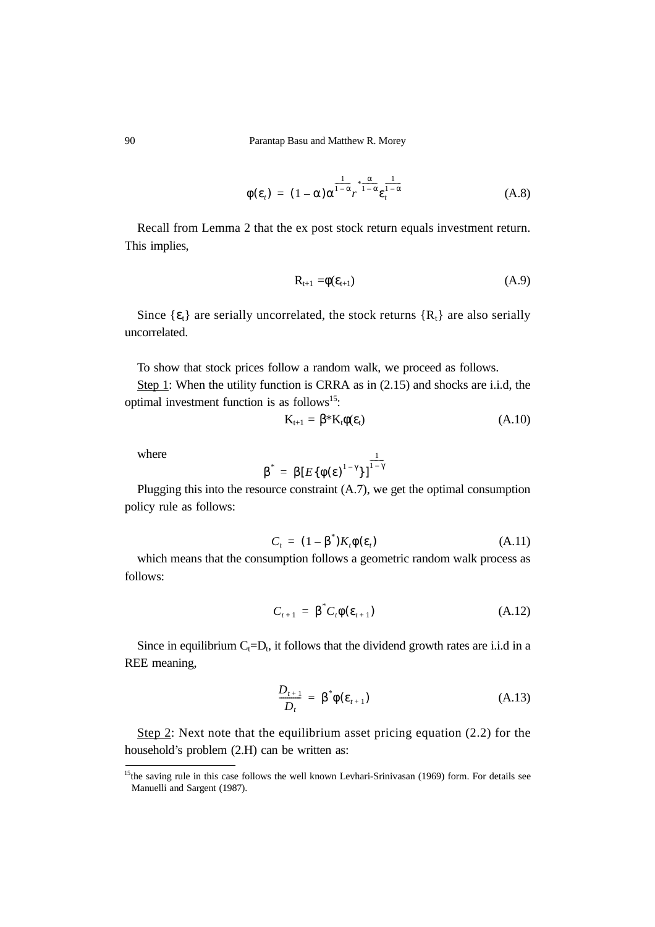90 Parantap Basu and Matthew R. Morey

$$
\phi(\varepsilon_t) = (1 - \alpha) \alpha^{\frac{1}{1 - \alpha}} r^{\frac{\alpha}{1 - \alpha}} \varepsilon_t^{\frac{1}{1 - \alpha}}
$$
(A.8)

Recall from Lemma 2 that the ex post stock return equals investment return. This implies,

$$
\mathbf{R}_{t+1} = \phi(\mathbf{\varepsilon}_{t+1}) \tag{A.9}
$$

Since  $\{\varepsilon_t\}$  are serially uncorrelated, the stock returns  $\{R_t\}$  are also serially uncorrelated.

To show that stock prices follow a random walk, we proceed as follows.

Step 1: When the utility function is CRRA as in (2.15) and shocks are i.i.d, the optimal investment function is as follows<sup>15</sup>:

$$
K_{t+1} = \beta^* K_t \phi(\varepsilon_t) \tag{A.10}
$$

where

$$
\beta^* = \beta [E\{\phi(\epsilon)^{1-\gamma}\}]^{\frac{1}{1-\gamma}}
$$

Plugging this into the resource constraint (A.7), we get the optimal consumption policy rule as follows:

$$
C_t = (1 - \beta^*)K_t \phi(\varepsilon_t)
$$
 (A.11)

which means that the consumption follows a geometric random walk process as follows:

$$
C_{t+1} = \beta^* C_t \phi(\varepsilon_{t+1}) \tag{A.12}
$$

Since in equilibrium  $C_t=D_t$ , it follows that the dividend growth rates are i.i.d in a REE meaning,

$$
\frac{D_{t+1}}{D_t} = \beta^* \phi(\varepsilon_{t+1})
$$
\n(A.13)

Step 2: Next note that the equilibrium asset pricing equation (2.2) for the household's problem (2.H) can be written as:

<sup>&</sup>lt;sup>15</sup>the saving rule in this case follows the well known Levhari-Srinivasan (1969) form. For details see Manuelli and Sargent (1987).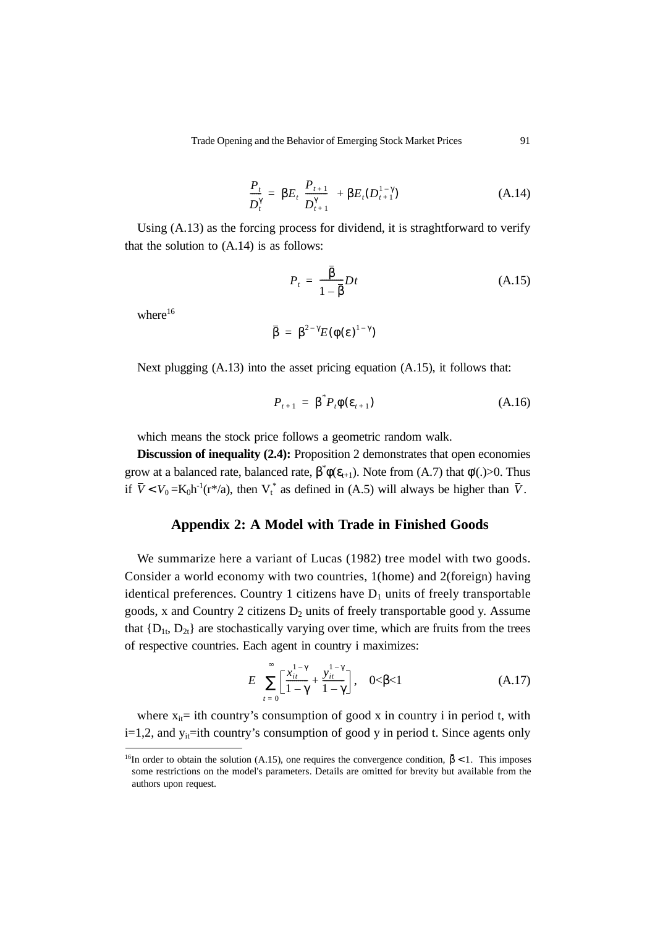$$
\frac{P_t}{D_t^{\gamma}} = \beta E_t \left( \frac{P_{t+1}}{D_{t+1}^{\gamma}} \right) + \beta E_t (D_{t+1}^{1-\gamma})
$$
\n(A.14)

Using (A.13) as the forcing process for dividend, it is straghtforward to verify that the solution to  $(A.14)$  is as follows:

$$
P_t = \frac{\overline{\beta}}{1 - \overline{\beta}} Dt \tag{A.15}
$$

where $16$ 

$$
\overline{\beta} = \beta^{2-\gamma} E(\phi(\varepsilon)^{1-\gamma})
$$

Next plugging (A.13) into the asset pricing equation (A.15), it follows that:

$$
P_{t+1} = \beta^* P_t \phi(\varepsilon_{t+1}) \tag{A.16}
$$

which means the stock price follows a geometric random walk.

**Discussion of inequality (2.4):** Proposition 2 demonstrates that open economies grow at a balanced rate, balanced rate,  $\beta^* \phi(\epsilon_{t+1})$ . Note from (A.7) that  $\phi'(.)>0$ . Thus if  $\overline{V}$  <  $V_0$  = K<sub>0</sub>h<sup>-1</sup>(r<sup>\*</sup>/a), then V<sub>t</sub><sup>\*</sup> as defined in (A.5) will always be higher than  $\overline{V}$ .

# **Appendix 2: A Model with Trade in Finished Goods**

We summarize here a variant of Lucas (1982) tree model with two goods. Consider a world economy with two countries, 1(home) and 2(foreign) having identical preferences. Country 1 citizens have  $D_1$  units of freely transportable goods, x and Country 2 citizens  $D_2$  units of freely transportable good y. Assume that  ${D_{1t}, D_{2t}}$  are stochastically varying over time, which are fruits from the trees of respective countries. Each agent in country i maximizes:

$$
E\left\{\sum_{t=0}^{\infty} \left[\frac{x_{it}^{1-\gamma}}{1-\gamma} + \frac{y_{it}^{1-\gamma}}{1-\gamma}\right], \quad 0 < \beta < 1 \right\}
$$
 (A.17)

where  $x_{it}$  ith country's consumption of good x in country i in period t, with  $i=1,2$ , and  $y_{it}=i$ th country's consumption of good y in period t. Since agents only

<sup>&</sup>lt;sup>16</sup>In order to obtain the solution (A.15), one requires the convergence condition,  $\bar{\beta}$  < 1. This imposes some restrictions on the model's parameters. Details are omitted for brevity but available from the authors upon request.